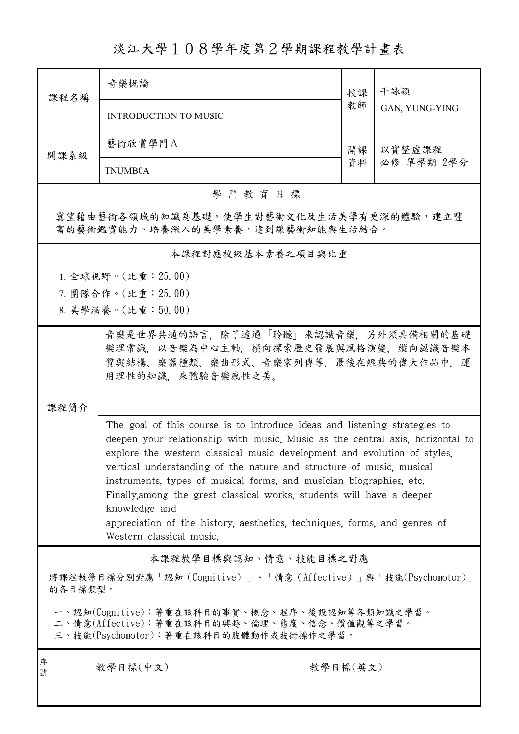## 淡江大學108學年度第2學期課程教學計畫表

| 課程名稱                                                                                                                                                                                                                                                                                                                                                                                                                                                                                                                                                                                     | 音樂概論                  |                       | 授課       | 干詠穎            |  |  |  |  |  |  |
|------------------------------------------------------------------------------------------------------------------------------------------------------------------------------------------------------------------------------------------------------------------------------------------------------------------------------------------------------------------------------------------------------------------------------------------------------------------------------------------------------------------------------------------------------------------------------------------|-----------------------|-----------------------|----------|----------------|--|--|--|--|--|--|
|                                                                                                                                                                                                                                                                                                                                                                                                                                                                                                                                                                                          | INTRODUCTION TO MUSIC |                       |          | GAN, YUNG-YING |  |  |  |  |  |  |
| 開課系級                                                                                                                                                                                                                                                                                                                                                                                                                                                                                                                                                                                     | 藝術欣賞學門A               |                       | 開課       | 以實整虛課程         |  |  |  |  |  |  |
|                                                                                                                                                                                                                                                                                                                                                                                                                                                                                                                                                                                          | TNUMB0A               |                       | 資料       | 必修 單學期 2學分     |  |  |  |  |  |  |
| 學門教育目標                                                                                                                                                                                                                                                                                                                                                                                                                                                                                                                                                                                   |                       |                       |          |                |  |  |  |  |  |  |
| 冀望藉由藝術各領域的知識為基礎,使學生對藝術文化及生活美學有更深的體驗,建立豐<br>富的藝術鑑賞能力、培養深入的美學素養,達到讓藝術知能與生活結合。                                                                                                                                                                                                                                                                                                                                                                                                                                                                                                              |                       |                       |          |                |  |  |  |  |  |  |
| 本課程對應校級基本素養之項目與比重                                                                                                                                                                                                                                                                                                                                                                                                                                                                                                                                                                        |                       |                       |          |                |  |  |  |  |  |  |
| 1. 全球視野。(比重: 25.00)                                                                                                                                                                                                                                                                                                                                                                                                                                                                                                                                                                      |                       |                       |          |                |  |  |  |  |  |  |
| 7. 團隊合作。(比重: 25.00)                                                                                                                                                                                                                                                                                                                                                                                                                                                                                                                                                                      |                       |                       |          |                |  |  |  |  |  |  |
|                                                                                                                                                                                                                                                                                                                                                                                                                                                                                                                                                                                          | 8. 美學涵養。(比重:50.00)    |                       |          |                |  |  |  |  |  |  |
| 音樂是世界共通的語言,除了透過「聆聽」來認識音樂,另外須具備相關的基礎<br>樂理常識,以音樂為中心主軸,橫向探索歷史發展與風格演變,縱向認識音樂本<br>質與結構、樂器種類、樂曲形式、音樂家列傳等,最後在經典的偉大作品中,運<br>用理性的知識,來體驗音樂感性之美。                                                                                                                                                                                                                                                                                                                                                                                                                                                   |                       |                       |          |                |  |  |  |  |  |  |
| 課程簡介                                                                                                                                                                                                                                                                                                                                                                                                                                                                                                                                                                                     |                       |                       |          |                |  |  |  |  |  |  |
| The goal of this course is to introduce ideas and listening strategies to<br>deepen your relationship with music. Music as the central axis, horizontal to<br>explore the western classical music development and evolution of styles.<br>vertical understanding of the nature and structure of music, musical<br>instruments, types of musical forms, and musician biographies, etc.<br>Finally, among the great classical works, students will have a deeper<br>knowledge and<br>appreciation of the history, aesthetics, techniques, forms, and genres of<br>Western classical music. |                       |                       |          |                |  |  |  |  |  |  |
|                                                                                                                                                                                                                                                                                                                                                                                                                                                                                                                                                                                          |                       | 本課程教學目標與認知、情意、技能目標之對應 |          |                |  |  |  |  |  |  |
| 將課程教學目標分別對應「認知 (Cognitive)」、「情意 (Affective)」與「技能(Psychomotor)」<br>的各目標類型。                                                                                                                                                                                                                                                                                                                                                                                                                                                                                                                |                       |                       |          |                |  |  |  |  |  |  |
| 一、認知(Cognitive):著重在該科目的事實、概念、程序、後設認知等各類知識之學習。<br>二、情意(Affective):著重在該科目的興趣、倫理、態度、信念、價值觀等之學習。<br>三、技能(Psychomotor):著重在該科目的肢體動作或技術操作之學習。                                                                                                                                                                                                                                                                                                                                                                                                                                                   |                       |                       |          |                |  |  |  |  |  |  |
| 序<br>號                                                                                                                                                                                                                                                                                                                                                                                                                                                                                                                                                                                   | 教學目標(中文)              |                       | 教學目標(英文) |                |  |  |  |  |  |  |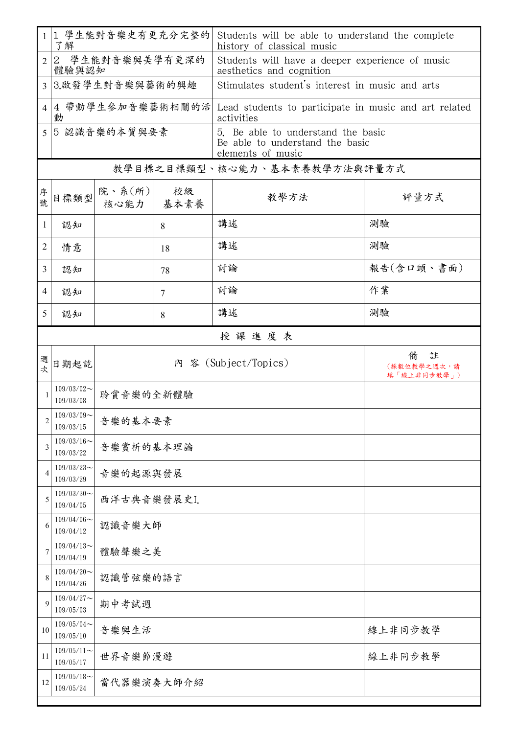|                | 1 學生能對音樂史有更充分完整的<br>1 <sup>1</sup><br>了解 |                               |    | Students will be able to understand the complete<br>history of classical music             |                                      |  |  |  |  |  |
|----------------|------------------------------------------|-------------------------------|----|--------------------------------------------------------------------------------------------|--------------------------------------|--|--|--|--|--|
| $\overline{2}$ | 2 學生能對音樂與美學有更深的<br>體驗與認知                 |                               |    | Students will have a deeper experience of music<br>aesthetics and cognition                |                                      |  |  |  |  |  |
| 3              |                                          | 3.啟發學生對音樂與藝術的興趣               |    | Stimulates student's interest in music and arts                                            |                                      |  |  |  |  |  |
| 4              | 動                                        |                               |    | 4 帶動學生參加音樂藝術相關的活 Lead students to participate in music and art related<br>activities       |                                      |  |  |  |  |  |
| 5              | 5 認識音樂的本質與要素                             |                               |    | 5. Be able to understand the basic<br>Be able to understand the basic<br>elements of music |                                      |  |  |  |  |  |
|                | 教學目標之目標類型、核心能力、基本素養教學方法與評量方式             |                               |    |                                                                                            |                                      |  |  |  |  |  |
| 序號             | 目標類型                                     | 院、系 $(\kappa)$<br>核心能力   基本素養 | 校級 | 教學方法                                                                                       | 評量方式                                 |  |  |  |  |  |
| 1              | 認知                                       |                               | 8  | 講述                                                                                         | 測驗                                   |  |  |  |  |  |
| 2              | 情意                                       |                               | 18 | 講述                                                                                         | 測驗                                   |  |  |  |  |  |
| 3              | 認知                                       |                               | 78 | 討論                                                                                         | 報告(含口頭、書面)                           |  |  |  |  |  |
| 4              | 認知                                       |                               | 7  | 討論                                                                                         | 作業                                   |  |  |  |  |  |
| 5              | 認知                                       |                               | 8  | 講述                                                                                         | 測驗                                   |  |  |  |  |  |
|                | 授課進度表                                    |                               |    |                                                                                            |                                      |  |  |  |  |  |
| 週<br>欤         | 日期起訖                                     |                               |    | 内 容 (Subject/Topics)                                                                       | 備<br>註<br>(採數位教學之週次,請<br>填「線上非同步教學」) |  |  |  |  |  |
| $\mathbf{1}$   | $109/03/02$ ~<br>109/03/08               | 聆賞音樂的全新體驗                     |    |                                                                                            |                                      |  |  |  |  |  |
| 2              | $109/03/09$ ~<br>109/03/15               | 音樂的基本要素                       |    |                                                                                            |                                      |  |  |  |  |  |
| 3              | $109/03/16$ ~<br>109/03/22               | 音樂賞析的基本理論                     |    |                                                                                            |                                      |  |  |  |  |  |
| 4              | $109/03/23$ ~<br>109/03/29               | 音樂的起源與發展                      |    |                                                                                            |                                      |  |  |  |  |  |
| 5              | $109/03/30$ ~<br>109/04/05               | 西洋古典音樂發展史I.                   |    |                                                                                            |                                      |  |  |  |  |  |
| 6              | $109/04/06 \sim$<br>109/04/12            | 認識音樂大師                        |    |                                                                                            |                                      |  |  |  |  |  |
| 7              | $109/04/13$ ~<br>109/04/19               | 體驗聲樂之美                        |    |                                                                                            |                                      |  |  |  |  |  |
| 8              | $109/04/20$ ~<br>109/04/26               | 認識管弦樂的語言                      |    |                                                                                            |                                      |  |  |  |  |  |
| 9              | $109/04/27$ ~<br>109/05/03               | 期中考試週                         |    |                                                                                            |                                      |  |  |  |  |  |
| 10             | $109/05/04$ ~<br>109/05/10               | 音樂與生活                         |    |                                                                                            | 線上非同步教學                              |  |  |  |  |  |
| 11             | $109/05/11$ ~<br>109/05/17               | 世界音樂節漫遊                       |    |                                                                                            | 線上非同步教學                              |  |  |  |  |  |
| 12             | $109/05/18$ ~<br>109/05/24               | 當代器樂演奏大師介紹                    |    |                                                                                            |                                      |  |  |  |  |  |